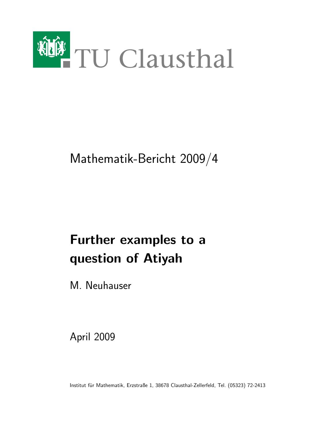

## Mathematik-Bericht 2009/4

# Further examples to a question of Atiyah

M. Neuhauser

April 2009

Institut für Mathematik, Erzstraße 1, 38678 Clausthal-Zellerfeld, Tel. (05323) 72-2413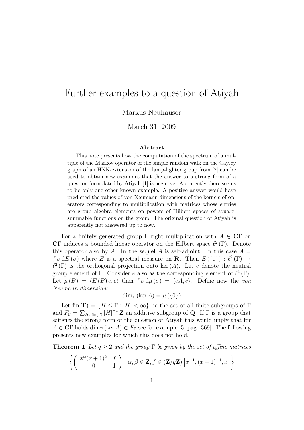### Further examples to a question of Atiyah

Markus Neuhauser

March 31, 2009

#### Abstract

This note presents how the computation of the spectrum of a multiple of the Markov operator of the simple random walk on the Cayley graph of an HNN-extension of the lamp-lighter group from [2] can be used to obtain new examples that the answer to a strong form of a question formulated by Atiyah [1] is negative. Apparently there seems to be only one other known example. A positive answer would have predicted the values of von Neumann dimensions of the kernels of operators corresponding to multiplication with matrices whose entries are group algebra elements on powers of Hilbert spaces of squaresummable functions on the group. The original question of Atiyah is apparently not answered up to now.

For a finitely generated group  $\Gamma$  right multiplication with  $A \in \mathbb{C}\Gamma$  on CΓ induces a bounded linear operator on the Hilbert space  $\ell^2(\Gamma)$ . Denote this operator also by A. In the sequel A is self-adjoint. In this case  $A =$  $\int \sigma dE(\sigma)$  where E is a spectral measure on **R**. Then  $E(\{0\}) : \ell^2(\Gamma) \to$  $\ell^2(\Gamma)$  is the orthogonal projection onto ker (A). Let e denote the neutral group element of  $\Gamma$ . Consider e also as the corresponding element of  $\ell^2(\Gamma)$ . Let  $\mu(B) = \langle E(B) e, e \rangle$  then  $\int \sigma d\mu(\sigma) = \langle eA, e \rangle$ . Define now the von Neumann dimension:

dim<sub>Γ</sub> (ker A) =  $\mu$  ({0})

Let fin  $(\Gamma) = \{H \leq \Gamma : |H| < \infty\}$  be the set of all finite subgroups of  $\Gamma$ and  $F_{\Gamma} = \sum_{H \in \text{fin}(\Gamma)} |H|^{-1} \mathbf{Z}$  an additive subgroup of **Q**. If  $\Gamma$  is a group that satisfies the strong form of the question of Atiyah this would imply that for  $A \in \mathbb{C}\Gamma$  holds dim<sub> $\Gamma$ </sub> (ker  $A \in F_{\Gamma}$  see for example [5, page 369]. The following presents new examples for which this does not hold.

**Theorem 1** Let  $q \ge 2$  and the group  $\Gamma$  be given by the set of affine matrices

$$
\left\{ \left( \begin{array}{cc} x^{\alpha}(x+1)^{\beta} & f \\ 0 & 1 \end{array} \right) : \alpha, \beta \in \mathbf{Z}, f \in (\mathbf{Z}/q\mathbf{Z}) \left[ x^{-1}, (x+1)^{-1}, x \right] \right\}
$$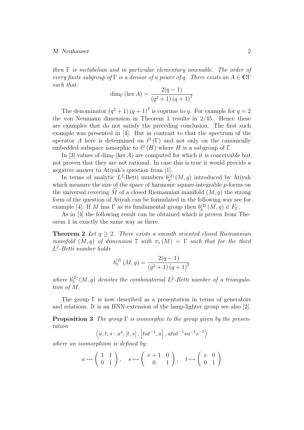then  $\Gamma$  is metabelian and in particular elementary amenable. The order of every finite subgroup of  $\Gamma$  is a divisor of a power of q. There exists an  $A \in \mathbb{C}\Gamma$ such that:

$$
\dim_{\Gamma} (\ker A) = \frac{2(q-1)}{(q^2+1) (q+1)^2}
$$

The denominator  $(q^2 + 1)(q + 1)^2$  is coprime to q. For example for  $q = 2$ the von Neumann dimension in Theorem 1 results in 2/45. Hence these are examples that do not satisfy the preceding conclusion. The first such example was presented in [4]. But in contrast to that the spectrum of the operator A here is determined on  $\ell^2(\Gamma)$  and not only on the canonically embedded subspace ismorphic to  $\ell^2(H)$  where H is a subgroup of  $\Gamma$ .

In [3] values of dim<sub>Γ</sub> (ker A) are computed for which it is conceivable but not proven that they are not rational. In case this is true it would provide a negative answer to Atiyah's question from [1].

In terms of analytic  $L^2$ -Betti numbers  $b_p^{(2)}(M,g)$  introduced by Atiyah which measure the size of the space of harmonic square-integrable  $p$ -forms on the universal covering  $\tilde{M}$  of a closed Riemannian manifold  $(M, q)$  the strong form of the question of Atiyah can be formulated in the following way see for example [4]: If M has  $\Gamma$  as its fundamental group then  $b_p^{(2)}(M,g) \in F_{\Gamma}$ .

As in [4] the following result can be obtained which is proven from Theorem 1 in exactly the same way as there.

**Theorem 2** Let  $q \geq 2$ . There exists a smooth oriented closed Riemannian manifold  $(M, g)$  of dimension 7 with  $\pi_1(M) = \Gamma$  such that for the third L 2 -Betti number holds

$$
b_3^{(2)}\left(M,g\right) = \frac{2(q-1)}{\left(q^2+1\right)\left(q+1\right)^2}
$$

where  $b_3^{(2)}$  $\mathcal{L}^{(2)}_3(M,g)$  denotes the combinatorial  $L^2$ -Betti number of a triangulation of M.

The group  $\Gamma$  is now described as a presentation in terms of generators and relations. It is an HNN-extension of the lamp-lighter group see also [2].

**Proposition 3** The group  $\Gamma$  is isomorphic to the group given by the presentation

$$
\langle a, t, s : a^q, [t, s], [tat^{-1}, a], atat^{-1}sa^{-1}s^{-1}\rangle
$$

where an isomorphism is defined by:

$$
a \mapsto \left(\begin{array}{cc} 1 & 1 \\ 0 & 1 \end{array}\right), \quad s \mapsto \left(\begin{array}{cc} x+1 & 0 \\ 0 & 1 \end{array}\right), \quad t \mapsto \left(\begin{array}{cc} x & 0 \\ 0 & 1 \end{array}\right)
$$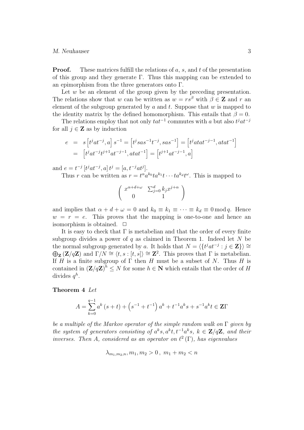**Proof.** These matrices fulfill the relations of a, s, and t of the presentation of this group and they generate Γ. Thus this mapping can be extended to an epimorphism from the three generators onto Γ.

Let  $w$  be an element of the group given by the preceding presentation. The relations show that w can be written as  $w = rs^{\beta}$  with  $\beta \in \mathbb{Z}$  and r an element of the subgroup generated by  $a$  and  $t$ . Suppose that  $w$  is mapped to the identity matrix by the defined homomorphism. This entails that  $\beta = 0$ .

The relations employ that not only  $tat^{-1}$  commutes with a but also  $t^jat^{-j}$ for all  $j \in \mathbf{Z}$  as by induction

$$
e = s \left[ t^j a t^{-j}, a \right] s^{-1} = \left[ t^j s a s^{-1} t^{-j}, s a s^{-1} \right] = \left[ t^j a t a t^{-j-1}, a t a t^{-1} \right]
$$
  
= 
$$
\left[ t^j a t^{-j} t^{j+1} a t^{-j-1}, a t a t^{-1} \right] = \left[ t^{j+1} a t^{-j-1}, a \right]
$$

and  $e = t^{-j} [t^j a t^{-j}, a] t^j = [a, t^{-j} a t^j].$ 

Thus r can be written as  $r = t^{\alpha} a^{k_0} t a^{k_1} t \cdots t a^{k_d} t^{\omega}$ . This is mapped to

$$
\left(\begin{array}{cc} x^{\alpha+d+\omega} & \sum_{j=0}^{d} k_j x^{j+\alpha} \\ 0 & 1 \end{array}\right)
$$

and implies that  $\alpha + d + \omega = 0$  and  $k_0 \equiv k_1 \equiv \cdots \equiv k_d \equiv 0 \mod q$ . Hence  $w = r = e$ . This proves that the mapping is one-to-one and hence an isomorphism is obtained.  $\Box$ 

It is easy to check that  $\Gamma$  is metabelian and that the order of every finite subgroup divides a power of q as claimed in Theorem 1. Indeed let  $N$  be the normal subgroup generated by a. It holds that  $N = \langle \{t^j a t^{-j} : j \in \mathbb{Z}\} \rangle \cong$  $\bigoplus_{\mathbf{Z}} (\mathbf{Z}/q\mathbf{Z})$  and  $\Gamma/N \cong \langle t, s : [t, s] \rangle \cong \mathbf{Z}^2$ . This proves that  $\Gamma$  is metabelian. If H is a finite subgroup of  $\Gamma$  then H must be a subset of N. Thus H is contained in  $(\mathbf{Z}/q\mathbf{Z})^h \leq N$  for some  $h \in \mathbf{N}$  which entails that the order of H divides  $q^h$ .

Theorem 4 Let

$$
A = \sum_{k=0}^{q-1} a^k (s+t) + \left(s^{-1} + t^{-1}\right) a^k + t^{-1} a^k s + s^{-1} a^k t \in \mathbb{Z}\Gamma
$$

be a multiple of the Markov operator of the simple random walk on  $\Gamma$  given by the system of generators consisting of  $a^k s$ ,  $a^k t$ ,  $t^{-1} a^k s$ ,  $k \in \mathbb{Z}/q\mathbb{Z}$ , and their inverses. Then A, considered as an operator on  $\ell^2(\Gamma)$ , has eigenvalues

$$
\lambda_{m_1,m_2,n}, m_1, m_2 > 0, m_1 + m_2 < n
$$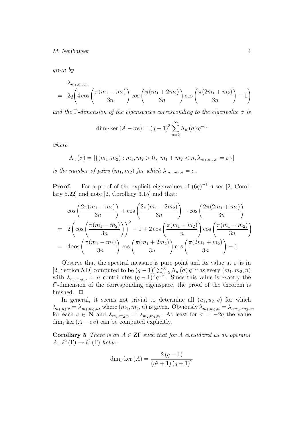given by

$$
\lambda_{m_1, m_2, n} = 2q \left( 4 \cos \left( \frac{\pi (m_1 - m_2)}{3n} \right) \cos \left( \frac{\pi (m_1 + 2m_2)}{3n} \right) \cos \left( \frac{\pi (2m_1 + m_2)}{3n} \right) - 1 \right)
$$

and the  $\Gamma$ -dimension of the eigenspaces corresponding to the eigenvalue  $\sigma$  is

$$
\dim_{\Gamma} \ker (A - \sigma e) = (q - 1)^{3} \sum_{n=2}^{\infty} \Lambda_{n}(\sigma) q^{-n}
$$

where

$$
\Lambda_n(\sigma) = |\{(m_1, m_2) : m_1, m_2 > 0, m_1 + m_2 < n, \lambda_{m_1, m_2, n} = \sigma\}|
$$

is the number of pairs  $(m_1, m_2)$  for which  $\lambda_{m_1, m_2, n} = \sigma$ .

**Proof.** For a proof of the explicit eigenvalues of  $(6q)^{-1}A$  see [2, Corollary 5.22] and note [2, Corollary 3.15] and that:

$$
\cos\left(\frac{2\pi(m_1 - m_2)}{3n}\right) + \cos\left(\frac{2\pi(m_1 + 2m_2)}{3n}\right) + \cos\left(\frac{2\pi(2m_1 + m_2)}{3n}\right)
$$
  
=  $2\left(\cos\left(\frac{\pi(m_1 - m_2)}{3n}\right)\right)^2 - 1 + 2\cos\left(\frac{\pi(m_1 + m_2)}{n}\right)\cos\left(\frac{\pi(m_1 - m_2)}{3n}\right)$   
=  $4\cos\left(\frac{\pi(m_1 - m_2)}{3n}\right)\cos\left(\frac{\pi(m_1 + 2m_2)}{3n}\right)\cos\left(\frac{\pi(2m_1 + m_2)}{3n}\right) - 1$ 

Observe that the spectral measure is pure point and its value at  $\sigma$  is in [2, Section 5.D] computed to be  $(q-1)^3 \sum_{n=2}^{\infty} \Lambda_n(\sigma) q^{-n}$  as every  $(m_1, m_2, n)$ with  $\lambda_{m_1,m_2,n} = \sigma$  contributes  $(q-1)^3 q^{-n}$ . Since this value is exactly the  $\ell^2$ -dimension of the corresponding eigenspace, the proof of the theorem is finished.  $\Box$ 

In general, it seems not trivial to determine all  $(u_1, u_2, v)$  for which  $\lambda_{u_1,u_2,v} = \lambda_{m_1,m_2,n}$ , where  $(m_1, m_2, n)$  is given. Obviously  $\lambda_{m_1,m_2,n} = \lambda_{cm_1,cm_2,cn}$ for each  $c \in \mathbb{N}$  and  $\lambda_{m_1,m_2,n} = \lambda_{m_2,m_1,n}$ . At least for  $\sigma = -2q$  the value  $\dim_{\Gamma} \ker (A - \sigma e)$  can be computed explicitly.

Corollary 5 There is an  $A \in \mathbb{Z}\Gamma$  such that for A considered as an operator  $A: \ell^2(\Gamma) \to \ell^2(\Gamma)$  holds:

dim<sub>\Gamma</sub> ker (A) = 
$$
\frac{2 (q - 1)}{(q^2 + 1) (q + 1)^2}
$$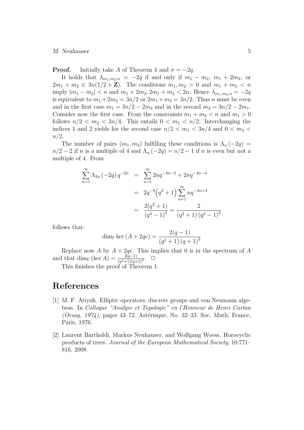**Proof.** Initially take A of Theorem 4 and  $\sigma = -2q$ .

It holds that  $\lambda_{m_1,m_2,n} = -2q$  if and only if  $m_1 - m_2$ ,  $m_1 + 2m_2$ , or  $2m_1 + m_2 \in 3n(1/2 + \mathbf{Z})$ . The conditions  $m_1, m_2 > 0$  and  $m_1 + m_2 < n$ imply  $|m_1 - m_2| < n$  and  $m_1 + 2m_2, 2m_1 + m_2 < 2n$ . Hence  $\lambda_{m_1, m_2, n} = -2q$ is equivalent to  $m_1 + 2m_2 = 3n/2$  or  $2m_1 + m_2 = 3n/2$ . Thus n must be even and in the first case  $m_1 = 3n/2 - 2m_2$  and in the second  $m_2 = 3n/2 - 2m_1$ . Consider now the first case. From the constraints  $m_1 + m_2 < n$  and  $m_1 > 0$ follows  $n/2 < m_2 < 3n/4$ . This entails  $0 < m_1 < n/2$ . Interchanging the indices 1 and 2 yields for the second case  $n/2 < m_1 < 3n/4$  and  $0 < m_2 <$  $n/2$ .

The number of pairs  $(m_1, m_2)$  fulfilling these conditions is  $\Lambda_n(-2q)$  $n/2 - 2$  if n is a multiple of 4 and  $\Lambda_n(-2q) = n/2 - 1$  if n is even but not a multiple of 4. From

$$
\sum_{n=1}^{\infty} \Lambda_{2n} (-2q) q^{-2n} = \sum_{n=1}^{\infty} 2nq^{-4n-2} + 2nq^{-4n-4}
$$

$$
= 2q^{-8} (q^{2} + 1) \sum_{n=1}^{\infty} nq^{-4n+4}
$$

$$
= \frac{2(q^{2} + 1)}{(q^{4} - 1)^{2}} = \frac{2}{(q^{2} + 1) (q^{2} - 1)^{2}}
$$

follows that:

$$
\dim_{\Gamma} \ker (A + 2qe) = \frac{2(q - 1)}{(q^2 + 1) (q + 1)^2}
$$

Replace now A by  $A + 2qe$ . This implies that 0 is in the spectrum of A and that  $\dim_{\Gamma} (\ker A) = \frac{\mathfrak{A}^{q-1}}{(q^2+1)(q+1)^2}$ .  $\Box$ 

This finishes the proof of Theorem 1.

### References

- [1] M. F. Atiyah. Elliptic operators, discrete groups and von Neumann algebras. In Colloque "Analyse et Topologie" en l'Honneur de Henri Cartan  $(Orsay, 1974)$ , pages 43–72. Astérisque, No. 32–33. Soc. Math. France, Paris, 1976.
- [2] Laurent Bartholdi, Markus Neuhauser, and Wolfgang Woess. Horocyclic products of trees. Journal of the European Mathematical Society, 10:771– 816, 2008.